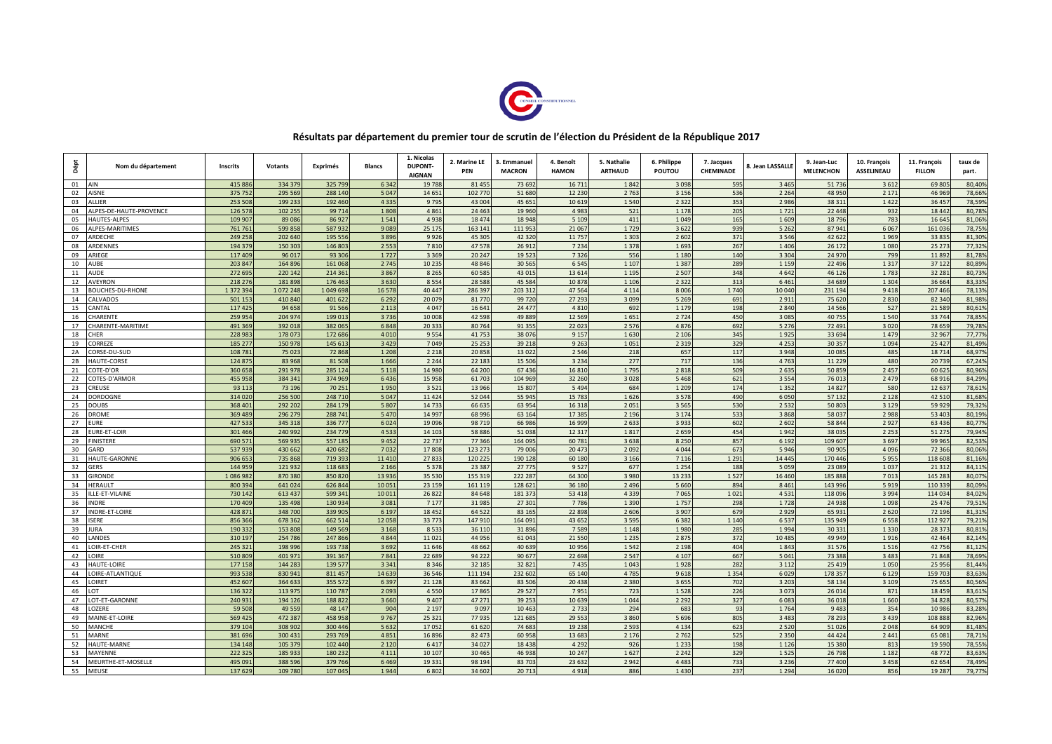

## **Résultats par département du premier tour de scrutin de l'élection du Président de la République 2017**

| Dépt     | Nom du département         | Inscrits         | Votants         | Exprimés          | <b>Blancs</b>   | 1. Nicolas<br>DUPONT-<br><b>AIGNAN</b> | 2. Marine LE<br>PEN | 3. Emmanuel<br><b>MACRON</b> | 4. Benoît<br><b>HAMON</b> | 5. Nathalie<br><b>ARTHAUD</b> | 6. Philippe<br>POUTOU | 7. Jacques<br><b>CHEMINADE</b> | <b>. Jean LASSALLE</b> | 9. Jean-Luc<br><b>MELENCHON</b> | 10. François<br><b>ASSELINEAU</b> | 11. François<br><b>FILLON</b> | taux de<br>part. |
|----------|----------------------------|------------------|-----------------|-------------------|-----------------|----------------------------------------|---------------------|------------------------------|---------------------------|-------------------------------|-----------------------|--------------------------------|------------------------|---------------------------------|-----------------------------------|-------------------------------|------------------|
| 01       | AIN                        | 41588            | 334 37          | 325 79            | 6 3 4 2         | 1978                                   | 81 45               | 73 69                        | 16 7 11                   | 184                           | 3 0 9 8               | 595                            | 3 4 6                  | 51 73                           | 361                               | 6980                          | 80,40%           |
| 02       | <b>NSNE</b>                | 37575            | 295 56          | 288 140           | 5 0 4 7         | 14 65:                                 | 102 770             | 51 68                        | 12 2 3 0                  | 2 7 6                         | 3 1 5 6               | 536                            | 2 2 6 4                | 48 950                          | 2 1 7 1                           | 46 96                         | 78.66%           |
| 03       | ALLIER                     | 253 50           | 199 23          | 192 460           | 4 3 3 5         | 9 7 9 5                                | 43 004              | 45 651                       | 10 619                    | 1540                          | 2 3 2 2               | 353                            | 2 9 8 6                | 38 311                          | 1422                              | 36 45                         | 78,599           |
| 04       | ALPES-DE-HAUTE-PROVENCE    | 126 57           | 102 255         | 99 714            | 1808            | 4861                                   | 24 4 6              | 19 960                       | 4 9 8                     | 521                           | 1 1 7 8               | 205                            | 1721                   | 22 4 4 8                        | 932                               | 18 4 42                       | 80,78%           |
| 05       | <b>HAUTES-ALPES</b>        | 109 90           | 8908            | 86 927            | 1541            | 4 9 3 8                                | 18474               | 18 94                        | 5 10                      | 411                           | 1049                  | 165                            | 1 609                  | 18 796                          | 783                               | 16 64                         | 81,06%           |
| 06       | ALPES-MARITIMES            | 76176            | 59985           | 58793             | 9089            | 25 175                                 | 163 141             | 11195                        | 21 06                     | 1 7 2                         | 3622                  | 939                            | 5 2 6 2                | 87 941                          | 6067                              | 16103                         | 78,75%           |
| 07       | ARDECHE                    | 249 25           | 202 64          | 195 556           | 3896            | 9926                                   | 45 305              | 42 320                       | 11 757                    | 1 3 0 3                       | 2 6 0 2               | 371                            | 3 5 4 6                | 42 622                          | 1969                              | 33 83                         | 81,30%           |
| 08       | ARDENNE!                   | 194 37           | 150 30          | 146 80            | 2 5 5 3         | 7810                                   | 47 578              | 26 91                        | 7 2 3 4                   | 1378                          | 1693                  | 267                            | 1406                   | 26 172                          | 1080                              | 25 27                         | 77,32%           |
| 09       | ARIEGE                     | 117 40           | 96 01           | 93 306            | 1727            | 3 3 6 9                                | 20 247              | 19 52                        | 7 3 2 6                   | 556                           | 1 1 8 0               | 140                            | 3 3 0 4                | 24 970                          | 799                               | 11892                         | 81,78%           |
| 10<br>11 | <b>NUBE</b><br><b>AUDE</b> | 203 84<br>272 69 | 16489<br>220 14 | 161 06<br>214 36: | 2 7 4 5<br>3867 | 10 23!<br>8 2 6 5                      | 48 846<br>60 585    | 30 56<br>43 01               | 6 5 4<br>13 6 14          | 1 10<br>1 1 9                 | 1387<br>2 5 0 7       | 289<br>348                     | 1 1 5 9<br>4642        | 22 49<br>46 126                 | 1317<br>1783                      | 37 12<br>32 28 1              | 80,89%<br>80,73% |
| 12       | AVEYRON                    | 218 27           | 18189           | 176 46            | 3630            | 8 5 5 4                                | 28 5 8 8            | 45 58                        | 10 878                    | 1 1 0                         | 2 3 2 2               | 313                            | 6461                   | 34 689                          | 1 3 0 4                           | 36 664                        | 83,33%           |
| 13       | <b>BOUCHES-DU-RHONE</b>    | 137239           | 107224          | 1 049 698         | 16 578          | 40 447                                 | 286 397             | 203 31                       | 47 5 64                   | 4 1 1 4                       | 8006                  | 1740                           | 10 040                 | 231 194                         | 9418                              | 207 466                       | 78,13%           |
| 14       | <b>ALVADOS</b>             | 501 15           | 410 84          | 401 622           | 6 2 9 2         | 20 07                                  | 81 770              | 99 7 20                      | 27 293                    | 3 0 9                         | 5 2 6 9               | 691                            | 2911                   | 75 620                          | 2830                              | 82 34                         | 81,98%           |
| 15       | <b>ANTAL</b>               | 117 42           | 94 65           | 91 566            | 2 1 1 3         | 4 0 4 7                                | 16 641              | 24 47                        | 4 8 1                     | 692                           | 1 1 7 9               | 198                            | 2 8 4 0                | 14 5 66                         | 527                               | 21 589                        | 80,619           |
| 16       | <b>HARENTE</b>             | 259 95           | 204 97          | 199 01            | 3736            | 10 008                                 | 42 5 98             | 49 88                        | 12 5 69                   | 165                           | 2724                  | 450                            | 3 0 8                  | 40 755                          | 1540                              | 33 744                        | 78,85%           |
| 17       | <b>CHARENTE-MARITIME</b>   | 49136            | 392 01          | 382 065           | 6848            | 20 33                                  | 80 764              | 91 355                       | 22 02                     | 257                           | 4876                  | 692                            | 5 2 7 6                | 72 491                          | 3020                              | 78 659                        | 79,78%           |
| 18       | <b>CHER</b>                | 228 98           | 17807           | 172 68            | 4 0 1 0         | 9 5 5 4                                | 41 753              | 38 076                       | 9 1 5                     | 1 6 3 0                       | 2 1 0 6               | 345                            | 1925                   | 33 694                          | 1479                              | 32 96                         | 77,779           |
| 19       | CORREZE                    | 185 277          | 150 97          | 145 61            | 3 4 2 9         | 7 0 4 9                                | 25 25 3             | 39 218                       | 9263                      | 105                           | 2 3 1 9               | 329                            | 4 2 5 3                | 30 357                          | 1094                              | 25 4 27                       | 81,49%           |
| 2A       | CORSE-DU-SUD               | 10878            | 75 02           | 72 868            | 1 2 0 8         | 2 2 1 8                                | 20858               | 13 0 22                      | 2 5 4 6                   | 218                           | 657                   | 117                            | 3 9 4 8                | 10 085                          | 485                               | 18 71                         | 68,97%           |
| 2B       | <b>HAUTE-CORSE</b>         | 12487            | 83 96           | 81 50             | 1666            | 2 2 4 4                                | 22 18               | 15 50                        | 3 2 3 4                   | 277                           | 717                   | 136                            | 4763                   | 11 22                           | 480                               | 2073                          | 67,249           |
| 21       | COTE-D'OR                  | 360 65           | 291 97          | 285 124           | 5 1 1 8         | 14 980                                 | 64 200              | 67 43                        | 16810                     | 1 7 9 5                       | 2818                  | 509                            | 2 6 3 5                | 50 859                          | 2 4 5                             | 60 62                         | 80,96%           |
| 22       | COTES-D'ARMOR              | 455 95           | 384 34          | 374 96            | 6436            | 15 9 58                                | 61 70               | 104 96                       | 32 260                    | 3 0 2                         | 5468                  | 621                            | 3 5 5 4                | 76 01                           | 2 4 7                             | 68 916                        | 84,29%           |
| 23       | CREUSE                     | 93 11            | 73 19           | 70 25:            | 1950            | 3 5 2 1                                | 13 966              | 15 80                        | 5494                      | 684                           | 1 2 0 9               | 174                            | 1 3 5 2                | 14827                           | 580                               | 12 63                         | 78,61%           |
| 24       | ORDOGNE                    | 314 02           | 256 50          | 248 710           | 5 0 4 7         | 11 4 24                                | 52 044              | 55 945                       | 15 783                    | 1626                          | 3578                  | 490                            | 6050                   | 57 132                          | 2 1 2 8                           | 42 51                         | 81,68%           |
| 25       | OUBS                       | 368 40:          | 292 20          | 284 179           | 5 8 0 7         | 14 7 3                                 | 66 635              | 63 95                        | 16 318                    | 205                           | 3565                  | 530                            | 2 5 3 2                | 50 80                           | 3 1 2 9                           | 59 929                        | 79,32%           |
| 26       | ROME                       | 369 48           | 296 27          | 28874             | 5 4 7 0         | 14 99                                  | 68 996              | 63 16                        | 17 385                    | 2 1 9 1                       | 3 1 7 4               | 533                            | 3 8 6 8                | 58 037                          | 2 9 8 8                           | 53 40                         | 80,19%           |
| 27       | URE                        | 427 53           | 345 31          | 33677             | 6024            | 19 09 6                                | 98 719              | 66 98                        | 16 999                    | 263                           | 3933                  | 602                            | 2 6 0 2                | 58 844                          | 2 9 2                             | 63 436                        | 80,77%           |
| 28       | URE-ET-LOIR                | 301 466          | 240 99          | 234 77            | 4 5 3 3         | 14 10                                  | 58 886              | 51 038                       | 12 3 17                   | 181                           | 2659                  | 454                            | 1942                   | 38 035                          | 2 2 5 3                           | 51 27                         | 79,94%           |
| 29       | <b>INISTERE</b>            | 690 57           | 569 93          | 557 18            | 9 4 5 2         | 22 73                                  | 77 366              | 164 09                       | 60 781                    | 3 6 3                         | 8 2 5 0               | 857                            | 6 1 9 2                | 109 607                         | 3697                              | 99 96                         | 82,53%           |
| 30       | GARD                       | 53793            | 430 66          | 420 68            | 7032            | 17 808                                 | 123 273             | 79 00                        | 20 473                    | 209                           | 4044                  | 673                            | 5 9 4 6                | 90 905                          | 4096                              | 72 36                         | 80,06%           |
| 31       | <b>HAUTE-GARONNE</b>       | 906 65           | 735 86          | 719 39            | 11410           | 27 83                                  | 120 22              | 190 12                       | 60 180                    | 3 1 6 6                       | 7 1 1 6               | 1 2 9 1                        | 14 445                 | 170 446                         | 5955                              | 118 60                        | 81.16%           |
| 32       | <b>GERS</b>                | 144 95           | 12193           | 118 683           | 2 1 6 6         | 5 3 7 8                                | 23 387              | 27 775                       | 9 5 27                    | 677                           | 1 2 5 4               | 188                            | 5 0 5 9                | 23 089                          | 1037                              | 21 31                         | 84,119           |
| 33       | <b>SIRONDE</b>             | 108698           | 870 38          | 850 820           | 13 9 36         | 35 5 30                                | 155 319             | 222 28                       | 64 30                     | 3 9 8 0                       | 13 2 3 3              | 1527                           | 16 4 6 0               | 185 888                         | 701                               | 145 28                        | 80,07%           |
| 34       | <b>ERAULT</b>              | 800 39           | 641 02          | 626 844           | 10 051          | 23 159                                 | 161 119             | 128 62                       | 36 180                    | 2 4 9 1                       | 5 6 6 0               | 894                            | 8 4 6 1                | 143 996                         | 5919                              | 110 33                        | 80,09%           |
| 35       | LLE-ET-VILAINE             | 730 14           | 613 43          | 599 34:           | 10 011          | 26 822                                 | 84 648              | 181 37                       | 53 418                    | 4 3 3 9                       | 7065                  | 1021                           | 4531                   | 118 09                          | 3994                              | 114 03                        | 84,02%           |
| 36       | <b>NDRF</b>                | 170 409          | 135 49          | 130 934           | 3 0 8 1         | 7 1 7 7                                | 31 985              | 27 301                       | 7 7 8 6                   | 1 3 9 0                       | 1757                  | 298                            | 1728                   | 24 9 38                         | 1098                              | 25 47                         | 79,519           |
| 37       | NDRE-ET-LOIRE              | 428 87           | 348 70          | 339 90            | 6 1 9 7         | 18 4 52                                | 64 5 22             | 83 16!                       | 22 898                    | 2 606                         | 3 9 0 7               | 679                            | 2929                   | 65 931                          | 2620                              | 72 196                        | 81,31%           |
| 38       | <b>SERE</b>                | 856 36           | 678 36          | 662 51            | 12 058          | 33 7 73                                | 147 910             | 164 09:                      | 43 652                    | 3 5 9!                        | 6382                  | 1 1 4 0                        | 6537                   | 135 949                         | 6558                              | 112 92                        | 79,21%           |
| 39       | URA                        | 19033            | 153 80          | 149 56            | 3 1 6 8         | 8 5 3                                  | 36 110              | 31 89                        | 7589                      | 1 1 4                         | 1980                  | 285                            | 1994                   | 30 331                          | 1 3 3 0                           | 28 37                         | 80,819           |
| 40       | ANDES                      | 310 19           | 254 78          | 247 866           | 4 8 4 4         | 11 0 21                                | 44 956              | 61 04                        | 21 550                    | 1 2 3!                        | 2875                  | 372                            | 10 485                 | 49 949                          | 1916                              | 42 464                        | 82,14%           |
| 41       | OIR-ET-CHER                | 245 32           | 198 99          | 193 73            | 3692            | 11 646                                 | 48 662              | 40 63                        | 10 95                     | 154                           | 2 1 9 8               | 404                            | 1843                   | 31 57                           | 1516                              | 4275                          | 81,12%           |
| 42       | OIRE                       | 510 80           | 40197           | 391 36            | 7841            | 22 689                                 | 94 222              | 90 67                        | 22 698                    | 2 5 4                         | 4 1 0 7               | 667                            | 5 0 4 1                | 73 388                          | 3 4 8                             | 71 84                         | 78,69%           |
| 43       | <b>HAUTE-LOIRE</b>         | 177 15           | 144 28          | 139 57            | 3 3 4 1         | 8 3 4 6                                | 32 185              | 32 82                        | 7435                      | 1043                          | 1928                  | 282                            | 3 1 1 2                | 25 41                           | 1050                              | 25 95                         | 81,449           |
| 44       | OIRE-ATLANTIQUE            | 993 538          | 830 941         | 811 457           | 14 6 39         | 36 546                                 | 111 194             | 232 602                      | 65 140                    | 4 7 8                         | 9618                  | 1 3 5 4                        | 6029                   | 178 357                         | 6 1 2 9                           | 159 70                        | 83,63%           |
| 45       | OIRET                      | 452 607          | 364 63          | 355 572           | 6 3 9 7         | 21 1 28                                | 83 662              | 83 50                        | 20 438                    | 2 3 8 1                       | 3655                  | 702                            | 3 2 0 3                | 58 134                          | 3 1 0 9                           | 75 65                         | 80,56%           |
| 46       | OT                         | 136 32           | 113 97          | 11078             | 2 0 9 3         | 4.55                                   | 17865               | 29 52                        | 7953                      | $72^{\circ}$                  | 1528                  | 226                            | 3 0 7                  | 2601                            | 871                               | 18.45                         | 83.619           |
| 47       | OT-ET-GARONNE              | 240 931          | 194 126         | 188822            | 3 6 6 0         | 9 4 0 7                                | 47 271              | 39 25                        | 10 639                    | 1044                          | 2 2 9 2               | 327                            | 6 0 8 3                | 36 018                          | 1660                              | 34 82                         | 80,579           |
| 48       | <b>OZERE</b>               | 59 508           | 49 55           | 48 147            | 904             | 2 1 9 7                                | 9 0 9 7             | 10 46                        | 2 7 3                     | 294                           | 683                   | 93                             | 1764                   | 9 4 8                           | 354                               | 10 986                        | 83,28%           |
| 49       | <b>MAINE-ET-LOIRE</b>      | 569 42           | 472 38          | 458 95            | 9767            | 25 3 21                                | 77 93               | 121 68                       | 29 5 5                    | 3860                          | 5696                  | 805                            | 3 4 8 3                | 78 293                          | 3 4 3 9                           | 108 88                        | 82,96%           |
| 50       | MANCHE                     | 379 10           | 308 90          | 300 446           | 5 6 3 2         | 17 05                                  | 61 620              | 74 68                        | 19 2 38                   | 2 5 9                         | 4 1 3 4               | 623                            | 2 5 2 0                | 51 026                          | 2048                              | 64 90                         | 81,48%           |
| 51       | MARNE                      | 381 69           | 300 43:         | 293 769           | 4851            | 16896                                  | 82 473              | 60 958                       | 13 683                    | 2176                          | 2762                  | 525                            | 2 3 5 0                | 44 4 24                         | 2 4 4 1                           | 65 081                        | 78,71%           |
| 52       | <b>IAUTE-MARNE</b>         | 134 14           | 105 37          | 102 440           | 2 1 2 0         | 6417                                   | 34 027              | 18 43                        | 4 2 9 2                   | 926                           | 1 2 3 3               | 198                            | 1126                   | 15 380                          | 813                               | 19 5 90                       | 78,55%           |
| 53       | <b>MAYENNE</b>             | 222 32           | 185 93          | 180 23            | 4 1 1 1         | 10 107                                 | 30 46               | 46 93                        | 10 247                    | 1627                          | 2 2 4 2               | 329                            | 1 5 2 5                | 26 798                          | 1 1 8 2                           | 48 77                         | 83,63%           |
| 54       | <b>JEURTHE-ET-MOSELLE</b>  | 49509            | 388 59          | 379 76            | 6469            | 19 33:                                 | 98 194              | 8370                         | 23 632                    | 2942                          | 4483                  | 733                            | 3236                   | 77 400                          | 3458                              | 62 65                         | 78,499           |
| 55       | MEUSE                      | 137 629          | 109 78          | 107 045           | 1944            | 6802                                   | 34 602              | 20 71                        | 4918                      | 886                           | 1430                  | 237                            | 1 2 9 4                | 16 0 20                         | 856                               | 19 28                         | 79,77%           |